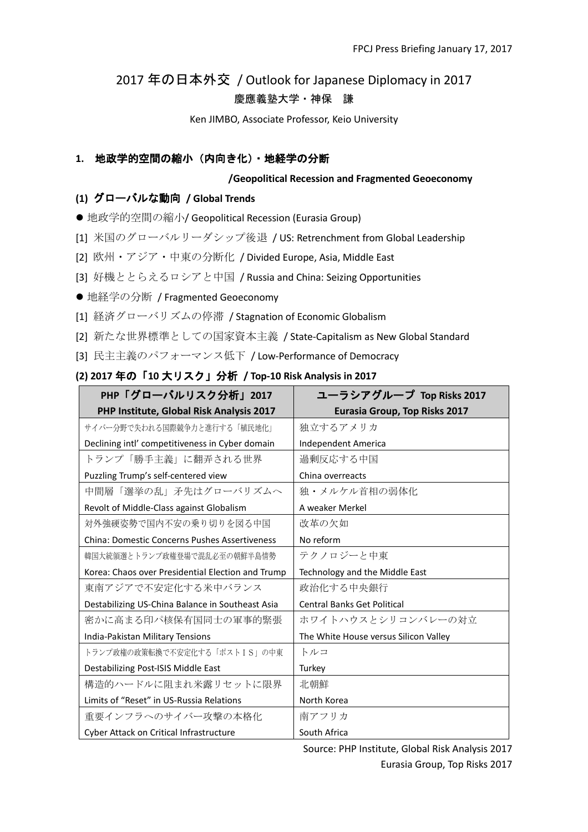# 2017 年の日本外交 / Outlook for Japanese Diplomacy in 2017 慶應義塾大学・神保 謙

Ken JIMBO, Associate Professor, Keio University

## **1.** 地政学的空間の縮小(内向き化)・地経学の分断

## **/Geopolitical Recession and Fragmented Geoeconomy**

## **(1)** グローバルな動向 **/ Global Trends**

● 地政学的空間の縮小/ Geopolitical Recession (Eurasia Group)

[1] 米国のグローバルリーダシップ後退 / US: Retrenchment from Global Leadership

[2] 欧州・アジア・中東の分断化 / Divided Europe, Asia, Middle East

[3] 好機ととらえるロシアと中国 / Russia and China: Seizing Opportunities

● 地経学の分断 / Fragmented Geoeconomy

[1] 経済グローバリズムの停滞 / Stagnation of Economic Globalism

[2] 新たな世界標準としての国家資本主義 / State-Capitalism as New Global Standard

[3] 民主主義のパフォーマンス低下 / Low-Performance of Democracy

# **(2) 2017** 年の「**10** 大リスク」分析 **/ Top-10 Risk Analysis in 2017**

| PHP「グローバルリスク分析」2017                                  | ユーラシアグループ Top Risks 2017              |
|------------------------------------------------------|---------------------------------------|
| PHP Institute, Global Risk Analysis 2017             | <b>Eurasia Group, Top Risks 2017</b>  |
| サイバー分野で失われる国際競争力と進行する「植民地化」                          | 独立するアメリカ                              |
| Declining intl' competitiveness in Cyber domain      | Independent America                   |
| トランプ「勝手主義」に翻弄される世界                                   | 過剰反応する中国                              |
| Puzzling Trump's self-centered view                  | China overreacts                      |
| 中間層「選挙の乱」矛先はグローバリズムへ                                 | 独・メルケル首相の弱体化                          |
| Revolt of Middle-Class against Globalism             | A weaker Merkel                       |
| 対外強硬姿勢で国内不安の乗り切りを図る中国                                | 改革の欠如                                 |
| <b>China: Domestic Concerns Pushes Assertiveness</b> | No reform                             |
| 韓国大統領選とトランプ政権登場で混乱必至の朝鮮半島情勢                          | テクノロジーと中東                             |
| Korea: Chaos over Presidential Election and Trump    | Technology and the Middle East        |
| 東南アジアで不安定化する米中バランス                                   | 政治化する中央銀行                             |
| Destabilizing US-China Balance in Southeast Asia     | <b>Central Banks Get Political</b>    |
| 密かに高まる印パ核保有国同士の軍事的緊張                                 | ホワイトハウスとシリコンバレーの対立                    |
| India-Pakistan Military Tensions                     | The White House versus Silicon Valley |
| トランプ政権の政策転換で不安定化する「ポストIS」の中東                         | トルコ                                   |
| Destabilizing Post-ISIS Middle East                  | Turkey                                |
| 構造的ハードルに阻まれ米露リセットに限界                                 | 北朝鮮                                   |
| Limits of "Reset" in US-Russia Relations             | North Korea                           |
| 重要インフラへのサイバー攻撃の本格化                                   | 南アフリカ                                 |
| Cyber Attack on Critical Infrastructure              | South Africa                          |

Source: PHP Institute, Global Risk Analysis 2017